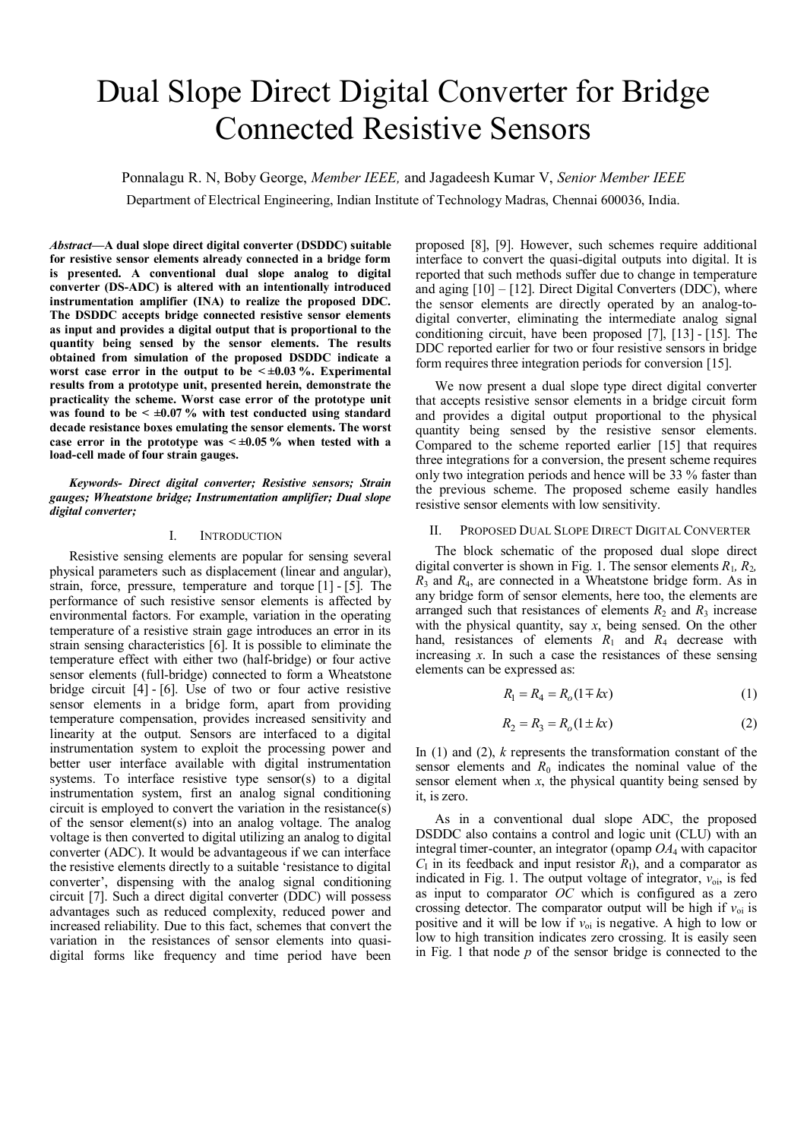# Dual Slope Direct Digital Converter for Bridge Connected Resistive Sensors

Ponnalagu R. N, Boby George, *Member IEEE,* and Jagadeesh Kumar V, *Senior Member IEEE*

Department of Electrical Engineering, Indian Institute of Technology Madras, Chennai 600036, India.

*Abstract***—A dual slope direct digital converter (DSDDC) suitable for resistive sensor elements already connected in a bridge form is presented. A conventional dual slope analog to digital converter (DS-ADC) is altered with an intentionally introduced instrumentation amplifier (INA) to realize the proposed DDC. The DSDDC accepts bridge connected resistive sensor elements as input and provides a digital output that is proportional to the quantity being sensed by the sensor elements. The results obtained from simulation of the proposed DSDDC indicate a worst case error in the output to be < ±0.03 %. Experimental results from a prototype unit, presented herein, demonstrate the practicality the scheme. Worst case error of the prototype unit was found to be < ±0.07 % with test conducted using standard decade resistance boxes emulating the sensor elements. The worst case error in the prototype was < ±0.05 % when tested with a load-cell made of four strain gauges.** 

*Keywords- Direct digital converter; Resistive sensors; Strain gauges; Wheatstone bridge; Instrumentation amplifier; Dual slope digital converter;* 

# I. INTRODUCTION

Resistive sensing elements are popular for sensing several physical parameters such as displacement (linear and angular), strain, force, pressure, temperature and torque [1] - [5]. The performance of such resistive sensor elements is affected by environmental factors. For example, variation in the operating temperature of a resistive strain gage introduces an error in its strain sensing characteristics [6]. It is possible to eliminate the temperature effect with either two (half-bridge) or four active sensor elements (full-bridge) connected to form a Wheatstone bridge circuit [4] - [6]. Use of two or four active resistive sensor elements in a bridge form, apart from providing temperature compensation, provides increased sensitivity and linearity at the output. Sensors are interfaced to a digital instrumentation system to exploit the processing power and better user interface available with digital instrumentation systems. To interface resistive type sensor(s) to a digital instrumentation system, first an analog signal conditioning circuit is employed to convert the variation in the resistance(s) of the sensor element(s) into an analog voltage. The analog voltage is then converted to digital utilizing an analog to digital converter (ADC). It would be advantageous if we can interface the resistive elements directly to a suitable "resistance to digital converter', dispensing with the analog signal conditioning circuit [7]. Such a direct digital converter (DDC) will possess advantages such as reduced complexity, reduced power and increased reliability. Due to this fact, schemes that convert the variation in the resistances of sensor elements into quasidigital forms like frequency and time period have been proposed [8], [9]. However, such schemes require additional interface to convert the quasi-digital outputs into digital. It is reported that such methods suffer due to change in temperature and aging  $[10] - [12]$ . Direct Digital Converters (DDC), where the sensor elements are directly operated by an analog-todigital converter, eliminating the intermediate analog signal conditioning circuit, have been proposed [7], [13] - [15]. The DDC reported earlier for two or four resistive sensors in bridge form requires three integration periods for conversion [15].

We now present a dual slope type direct digital converter that accepts resistive sensor elements in a bridge circuit form and provides a digital output proportional to the physical quantity being sensed by the resistive sensor elements. Compared to the scheme reported earlier [15] that requires three integrations for a conversion, the present scheme requires only two integration periods and hence will be 33 % faster than the previous scheme. The proposed scheme easily handles resistive sensor elements with low sensitivity.

#### PROPOSED DUAL SLOPE DIRECT DIGITAL CONVERTER

The block schematic of the proposed dual slope direct digital converter is shown in Fig. 1. The sensor elements  $R_1$ ,  $R_2$ , *R*<sup>3</sup> and *R*4, are connected in a Wheatstone bridge form. As in any bridge form of sensor elements, here too, the elements are arranged such that resistances of elements  $R_2$  and  $R_3$  increase with the physical quantity, say *x*, being sensed. On the other hand, resistances of elements  $R_1$  and  $R_4$  decrease with increasing *x*. In such a case the resistances of these sensing elements can be expressed as:

$$
R_1 = R_4 = R_o(1 \mp kx) \tag{1}
$$

$$
R_2 = R_3 = R_o(1 \pm kx)
$$
 (2)

In (1) and (2), *k* represents the transformation constant of the sensor elements and  $R_0$  indicates the nominal value of the sensor element when *x*, the physical quantity being sensed by it, is zero.

As in a conventional dual slope ADC, the proposed DSDDC also contains a control and logic unit (CLU) with an integral timer-counter, an integrator (opamp *OA*4 with capacitor  $C_1$  in its feedback and input resistor  $R_1$ ), and a comparator as indicated in Fig. 1. The output voltage of integrator, *v*oi, is fed as input to comparator *OC* which is configured as a zero crossing detector. The comparator output will be high if  $v_{oi}$  is positive and it will be low if  $v_{oi}$  is negative. A high to low or low to high transition indicates zero crossing. It is easily seen in Fig. 1 that node *p* of the sensor bridge is connected to the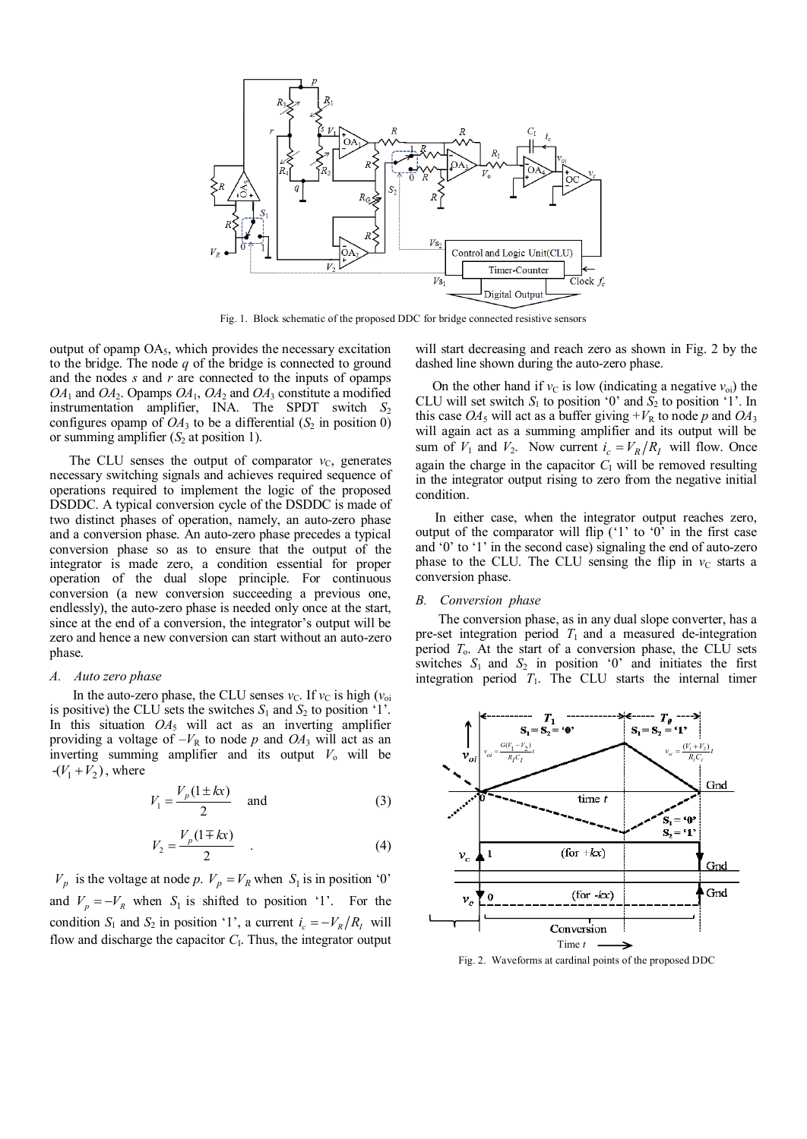

Fig. 1. Block schematic of the proposed DDC for bridge connected resistive sensors

output of opamp OA5, which provides the necessary excitation to the bridge. The node *q* of the bridge is connected to ground and the nodes *s* and *r* are connected to the inputs of opamps  $OA_1$  and  $OA_2$ . Opamps  $OA_1$ ,  $OA_2$  and  $OA_3$  constitute a modified instrumentation amplifier, INA. The SPDT switch  $S_2$ configures opamp of  $OA_3$  to be a differential  $(S_2$  in position 0) or summing amplifier  $(S_2$  at position 1).

The CLU senses the output of comparator  $v<sub>C</sub>$ , generates necessary switching signals and achieves required sequence of operations required to implement the logic of the proposed DSDDC. A typical conversion cycle of the DSDDC is made of two distinct phases of operation, namely, an auto-zero phase and a conversion phase. An auto-zero phase precedes a typical conversion phase so as to ensure that the output of the integrator is made zero, a condition essential for proper operation of the dual slope principle. For continuous conversion (a new conversion succeeding a previous one, endlessly), the auto-zero phase is needed only once at the start, since at the end of a conversion, the integrator's output will be zero and hence a new conversion can start without an auto-zero phase.

## *A. Auto zero phase*

In the auto-zero phase, the CLU senses  $v_c$ . If  $v_c$  is high ( $v_{oi}$ ) is positive) the CLU sets the switches  $S_1$  and  $S_2$  to position '1'. In this situation  $OA_5$  will act as an inverting amplifier providing a voltage of  $-V_R$  to node p and  $OA_3$  will act as an inverting summing amplifier and its output  $V_0$  will be  $-(V_1 + V_2)$ , where

$$
V_1 = \frac{V_p(1 \pm kx)}{2} \quad \text{and} \tag{3}
$$

$$
V_2 = \frac{V_p(1 \mp kx)}{2} \quad . \tag{4}
$$

 $V_p$  is the voltage at node *p*.  $V_p = V_R$  when  $S_1$  is in position '0" and  $V_p = -V_R$  when  $S_1$  is shifted to position '1'. For the condition  $S_1$  and  $S_2$  in position '1', a current  $i_c = -V_R/R_I$  will flow and discharge the capacitor  $C_I$ . Thus, the integrator output

will start decreasing and reach zero as shown in Fig. 2 by the dashed line shown during the auto-zero phase.

On the other hand if  $v_c$  is low (indicating a negative  $v_{\rm ol}$ ) the CLU will set switch  $S_1$  to position '0' and  $S_2$  to position '1'. In this case  $OA_5$  will act as a buffer giving  $+V_R$  to node p and  $OA_3$ will again act as a summing amplifier and its output will be sum of  $V_1$  and  $V_2$ . Now current  $i_c = V_R/R_I$  will flow. Once again the charge in the capacitor  $C<sub>I</sub>$  will be removed resulting in the integrator output rising to zero from the negative initial condition.

In either case, when the integrator output reaches zero, output of the comparator will flip  $('1'$  to '0' in the first case and '0' to '1' in the second case) signaling the end of auto-zero phase to the CLU. The CLU sensing the flip in  $v_c$  starts a conversion phase.

## *B. Conversion phase*

 The conversion phase, as in any dual slope converter, has a pre-set integration period  $T_1$  and a measured de-integration period  $T<sub>o</sub>$ . At the start of a conversion phase, the CLU sets switches  $S_1$  and  $S_2$  in position  $\theta$  and initiates the first integration period  $T_1$ . The CLU starts the internal timer



Fig. 2. Waveforms at cardinal points of the proposed DDC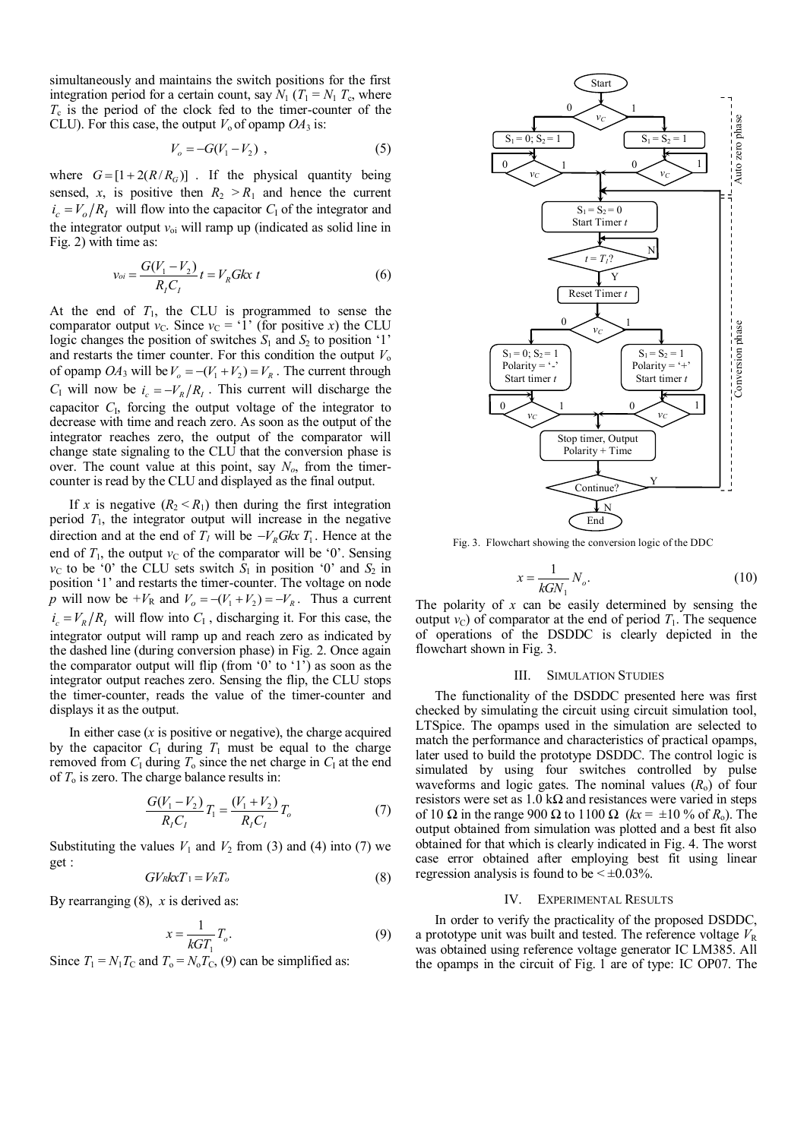simultaneously and maintains the switch positions for the first integration period for a certain count, say  $N_1$  ( $T_1 = N_1$   $T_c$ , where  $T_c$  is the period of the clock fed to the timer-counter of the CLU). For this case, the output  $V_0$  of opamp  $OA_3$  is:

$$
V_o = -G(V_1 - V_2) \t\t(5)
$$

where  $G = [1 + 2(R/R<sub>G</sub>)]$ . If the physical quantity being sensed, *x*, is positive then  $R_2 > R_1$  and hence the current  $i_c = V_o / R_I$  will flow into the capacitor  $C_I$  of the integrator and the integrator output  $v_{oi}$  will ramp up (indicated as solid line in Fig. 2) with time as:

$$
v_{oi} = \frac{G(V_1 - V_2)}{R_f C_I} t = V_R G k x \ t \tag{6}
$$

At the end of  $T_1$ , the CLU is programmed to sense the comparator output  $v_c$ . Since  $v_c = '1'$  (for positive *x*) the CLU logic changes the position of switches  $S_1$  and  $S_2$  to position '1' and restarts the timer counter. For this condition the output  $V_0$ of opamp  $OA_3$  will be  $V_o = -(V_1 + V_2) = V_R$ . The current through  $C_1$  will now be  $i_c = -V_R/R_I$ . This current will discharge the capacitor  $C<sub>1</sub>$ , forcing the output voltage of the integrator to decrease with time and reach zero. As soon as the output of the integrator reaches zero, the output of the comparator will change state signaling to the CLU that the conversion phase is over. The count value at this point, say *No*, from the timercounter is read by the CLU and displayed as the final output.

If *x* is negative  $(R_2 < R_1)$  then during the first integration period  $T_1$ , the integrator output will increase in the negative direction and at the end of  $T_I$  will be  $-V_R G k x T_1$ . Hence at the end of  $T_1$ , the output  $v_c$  of the comparator will be '0'. Sensing  $v<sub>C</sub>$  to be '0' the CLU sets switch  $S<sub>1</sub>$  in position '0' and  $S<sub>2</sub>$  in position '1' and restarts the timer-counter. The voltage on node *p* will now be  $+V_R$  and  $V_o = -(V_1 + V_2) = -V_R$ . Thus a current  $i_c = V_R/R_I$  will flow into  $C_I$ , discharging it. For this case, the integrator output will ramp up and reach zero as indicated by the dashed line (during conversion phase) in Fig. 2. Once again the comparator output will flip (from  $0'$  to  $1'$ ) as soon as the integrator output reaches zero. Sensing the flip, the CLU stops the timer-counter, reads the value of the timer-counter and displays it as the output.

In either case (*x* is positive or negative), the charge acquired by the capacitor  $C_1$  during  $T_1$  must be equal to the charge removed from  $C_1$  during  $T_0$  since the net charge in  $C_1$  at the end of  $T_0$  is zero. The charge balance results in:

$$
\frac{G(V_1 - V_2)}{R_1 C_1} T_1 = \frac{(V_1 + V_2)}{R_1 C_1} T_o \tag{7}
$$

Substituting the values  $V_1$  and  $V_2$  from (3) and (4) into (7) we get :

$$
GV_RkxT_1 = V_RT_o \tag{8}
$$

By rearranging (8), *x* is derived as:

$$
x = \frac{1}{kGT_1}T_o.
$$
\n<sup>(9)</sup>

Since  $T_1 = N_1 T_c$  and  $T_0 = N_0 T_c$ , (9) can be simplified as:



Fig. 3. Flowchart showing the conversion logic of the DDC

$$
x = \frac{1}{kGN_1} N_o.
$$
\n<sup>(10)</sup>

The polarity of *x* can be easily determined by sensing the output  $v_c$ ) of comparator at the end of period  $T_1$ . The sequence of operations of the DSDDC is clearly depicted in the flowchart shown in Fig. 3.

## III. SIMULATION STUDIES

The functionality of the DSDDC presented here was first checked by simulating the circuit using circuit simulation tool, LTSpice. The opamps used in the simulation are selected to match the performance and characteristics of practical opamps, later used to build the prototype DSDDC. The control logic is simulated by using four switches controlled by pulse waveforms and logic gates. The nominal values  $(R_0)$  of four resistors were set as  $1.0 \text{ k}\Omega$  and resistances were varied in steps of 10 Ω in the range 900 Ω to 1100 Ω ( $kx = \pm 10\%$  of  $R_0$ ). The output obtained from simulation was plotted and a best fit also obtained for that which is clearly indicated in Fig. 4. The worst case error obtained after employing best fit using linear regression analysis is found to be  $\leq \pm 0.03\%$ .

## IV. EXPERIMENTAL RESULTS

In order to verify the practicality of the proposed DSDDC, a prototype unit was built and tested. The reference voltage  $V<sub>R</sub>$ was obtained using reference voltage generator IC LM385. All the opamps in the circuit of Fig. 1 are of type: IC OP07. The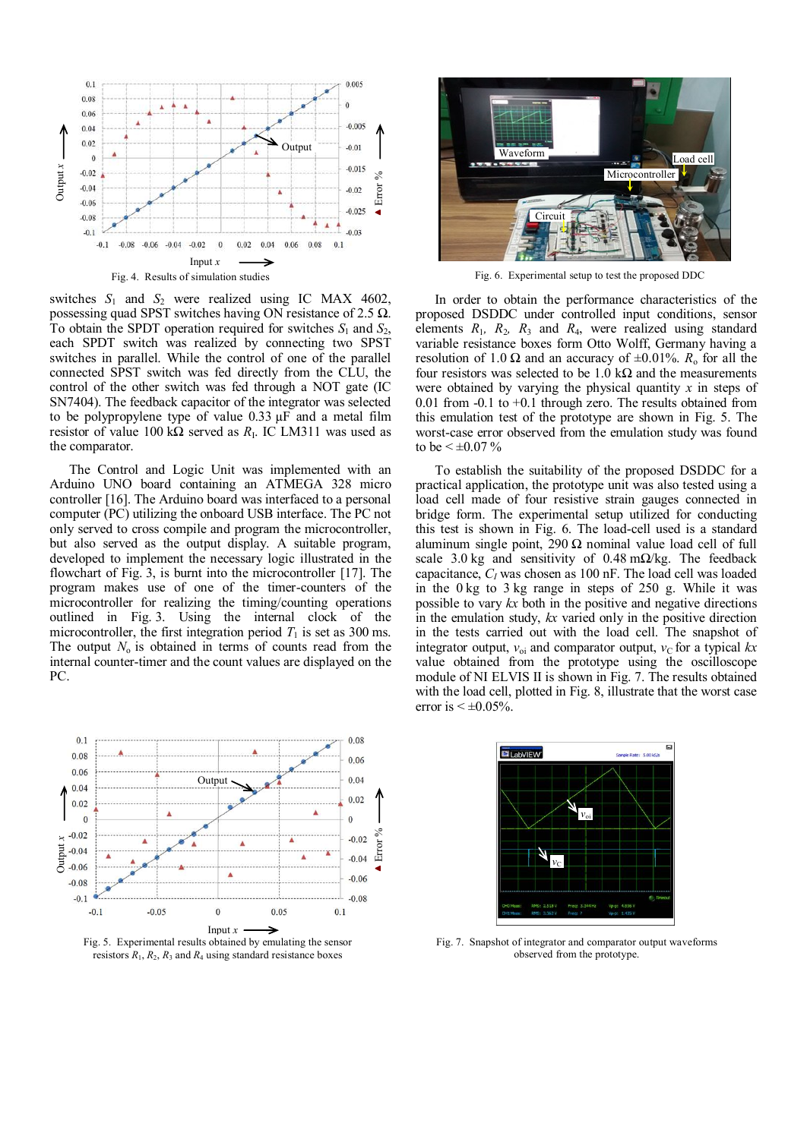

switches  $S_1$  and  $S_2$  were realized using IC MAX 4602, possessing quad SPST switches having ON resistance of 2.5  $\Omega$ . To obtain the SPDT operation required for switches  $S_1$  and  $S_2$ , each SPDT switch was realized by connecting two SPST switches in parallel. While the control of one of the parallel connected SPST switch was fed directly from the CLU, the control of the other switch was fed through a NOT gate (IC SN7404). The feedback capacitor of the integrator was selected to be polypropylene type of value 0.33 µF and a metal film resistor of value  $100 \text{ k}\Omega$  served as  $R<sub>1</sub>$ . IC LM311 was used as the comparator.

The Control and Logic Unit was implemented with an Arduino UNO board containing an ATMEGA 328 micro controller [16]. The Arduino board was interfaced to a personal computer (PC) utilizing the onboard USB interface. The PC not only served to cross compile and program the microcontroller, but also served as the output display. A suitable program, developed to implement the necessary logic illustrated in the flowchart of Fig. 3, is burnt into the microcontroller [17]. The program makes use of one of the timer-counters of the microcontroller for realizing the timing/counting operations outlined in Fig. 3. Using the internal clock of the microcontroller, the first integration period  $T_1$  is set as 300 ms. The output  $N_0$  is obtained in terms of counts read from the internal counter-timer and the count values are displayed on the PC.



resistors  $R_1$ ,  $R_2$ ,  $R_3$  and  $R_4$  using standard resistance boxes



Fig. 6. Experimental setup to test the proposed DDC

In order to obtain the performance characteristics of the proposed DSDDC under controlled input conditions, sensor elements  $R_1$ ,  $R_2$ ,  $R_3$  and  $R_4$ , were realized using standard variable resistance boxes form Otto Wolff, Germany having a resolution of 1.0  $\Omega$  and an accuracy of  $\pm 0.01\%$ .  $R_0$  for all the four resistors was selected to be 1.0 k $\Omega$  and the measurements were obtained by varying the physical quantity *x* in steps of 0.01 from -0.1 to +0.1 through zero. The results obtained from this emulation test of the prototype are shown in Fig. 5. The worst-case error observed from the emulation study was found to be  $\leq \pm 0.07 \%$ 

To establish the suitability of the proposed DSDDC for a practical application, the prototype unit was also tested using a load cell made of four resistive strain gauges connected in bridge form. The experimental setup utilized for conducting this test is shown in Fig. 6. The load-cell used is a standard aluminum single point,  $290 \Omega$  nominal value load cell of full scale 3.0 kg and sensitivity of 0.48 m $\Omega$ /kg. The feedback capacitance, *C<sup>I</sup>* was chosen as 100 nF. The load cell was loaded in the 0 kg to 3 kg range in steps of 250 g. While it was possible to vary *kx* both in the positive and negative directions in the emulation study, *kx* varied only in the positive direction in the tests carried out with the load cell. The snapshot of integrator output,  $v_{oi}$  and comparator output,  $v_c$  for a typical  $kx$ value obtained from the prototype using the oscilloscope module of NI ELVIS II is shown in Fig. 7. The results obtained with the load cell, plotted in Fig. 8, illustrate that the worst case error is  $\leq \pm 0.05\%$ .



Fig. 7. Snapshot of integrator and comparator output waveforms observed from the prototype.